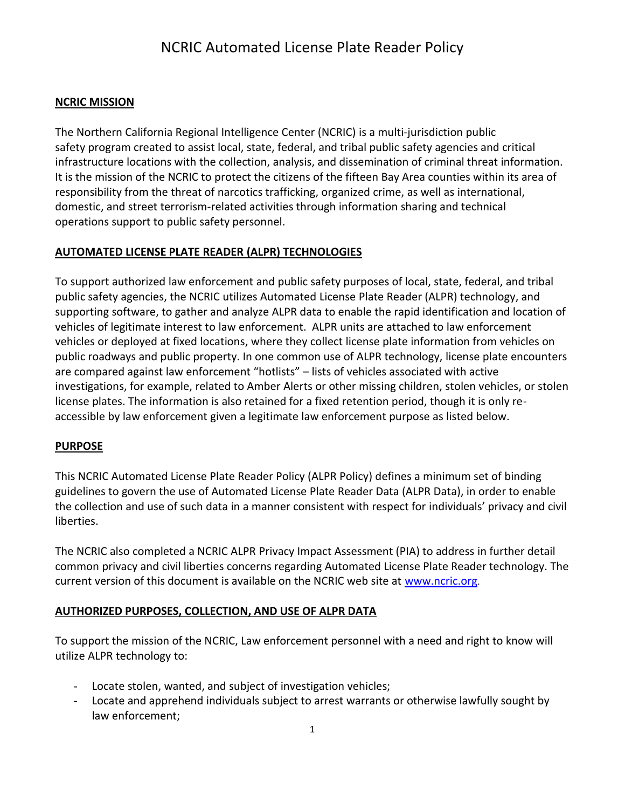#### **NCRIC MISSION**

The Northern California Regional Intelligence Center (NCRIC) is a multi-jurisdiction public safety program created to assist local, state, federal, and tribal public safety agencies and critical infrastructure locations with the collection, analysis, and dissemination of criminal threat information. It is the mission of the NCRIC to protect the citizens of the fifteen Bay Area counties within its area of responsibility from the threat of narcotics trafficking, organized crime, as well as international, domestic, and street terrorism-related activities through information sharing and technical operations support to public safety personnel.

#### **AUTOMATED LICENSE PLATE READER (ALPR) TECHNOLOGIES**

To support authorized law enforcement and public safety purposes of local, state, federal, and tribal public safety agencies, the NCRIC utilizes Automated License Plate Reader (ALPR) technology, and supporting software, to gather and analyze ALPR data to enable the rapid identification and location of vehicles of legitimate interest to law enforcement. ALPR units are attached to law enforcement vehicles or deployed at fixed locations, where they collect license plate information from vehicles on public roadways and public property. In one common use of ALPR technology, license plate encounters are compared against law enforcement "hotlists" – lists of vehicles associated with active investigations, for example, related to Amber Alerts or other missing children, stolen vehicles, or stolen license plates. The information is also retained for a fixed retention period, though it is only reaccessible by law enforcement given a legitimate law enforcement purpose as listed below.

#### **PURPOSE**

This NCRIC Automated License Plate Reader Policy (ALPR Policy) defines a minimum set of binding guidelines to govern the use of Automated License Plate Reader Data (ALPR Data), in order to enable the collection and use of such data in a manner consistent with respect for individuals' privacy and civil liberties.

The NCRIC also completed a NCRIC ALPR Privacy Impact Assessment (PIA) to address in further detail common privacy and civil liberties concerns regarding Automated License Plate Reader technology. The current version of this document is available on the NCRIC web site at [www.ncric.org](http://www.ncric.org/).

#### **AUTHORIZED PURPOSES, COLLECTION, AND USE OF ALPR DATA**

To support the mission of the NCRIC, Law enforcement personnel with a need and right to know will utilize ALPR technology to:

- Locate stolen, wanted, and subject of investigation vehicles;
- Locate and apprehend individuals subject to arrest warrants or otherwise lawfully sought by law enforcement;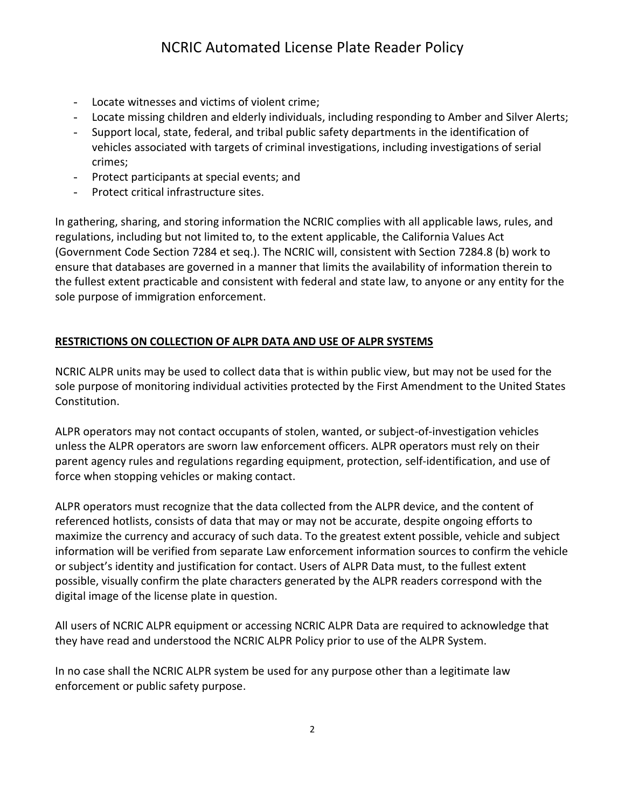- Locate witnesses and victims of violent crime;
- Locate missing children and elderly individuals, including responding to Amber and Silver Alerts;
- Support local, state, federal, and tribal public safety departments in the identification of vehicles associated with targets of criminal investigations, including investigations of serial crimes;
- Protect participants at special events; and
- Protect critical infrastructure sites.

In gathering, sharing, and storing information the NCRIC complies with all applicable laws, rules, and regulations, including but not limited to, to the extent applicable, the California Values Act (Government Code Section 7284 et seq.). The NCRIC will, consistent with Section 7284.8 (b) work to ensure that databases are governed in a manner that limits the availability of information therein to the fullest extent practicable and consistent with federal and state law, to anyone or any entity for the sole purpose of immigration enforcement.

### **RESTRICTIONS ON COLLECTION OF ALPR DATA AND USE OF ALPR SYSTEMS**

NCRIC ALPR units may be used to collect data that is within public view, but may not be used for the sole purpose of monitoring individual activities protected by the First Amendment to the United States Constitution.

ALPR operators may not contact occupants of stolen, wanted, or subject-of-investigation vehicles unless the ALPR operators are sworn law enforcement officers. ALPR operators must rely on their parent agency rules and regulations regarding equipment, protection, self-identification, and use of force when stopping vehicles or making contact.

ALPR operators must recognize that the data collected from the ALPR device, and the content of referenced hotlists, consists of data that may or may not be accurate, despite ongoing efforts to maximize the currency and accuracy of such data. To the greatest extent possible, vehicle and subject information will be verified from separate Law enforcement information sources to confirm the vehicle or subject's identity and justification for contact. Users of ALPR Data must, to the fullest extent possible, visually confirm the plate characters generated by the ALPR readers correspond with the digital image of the license plate in question.

All users of NCRIC ALPR equipment or accessing NCRIC ALPR Data are required to acknowledge that they have read and understood the NCRIC ALPR Policy prior to use of the ALPR System.

In no case shall the NCRIC ALPR system be used for any purpose other than a legitimate law enforcement or public safety purpose.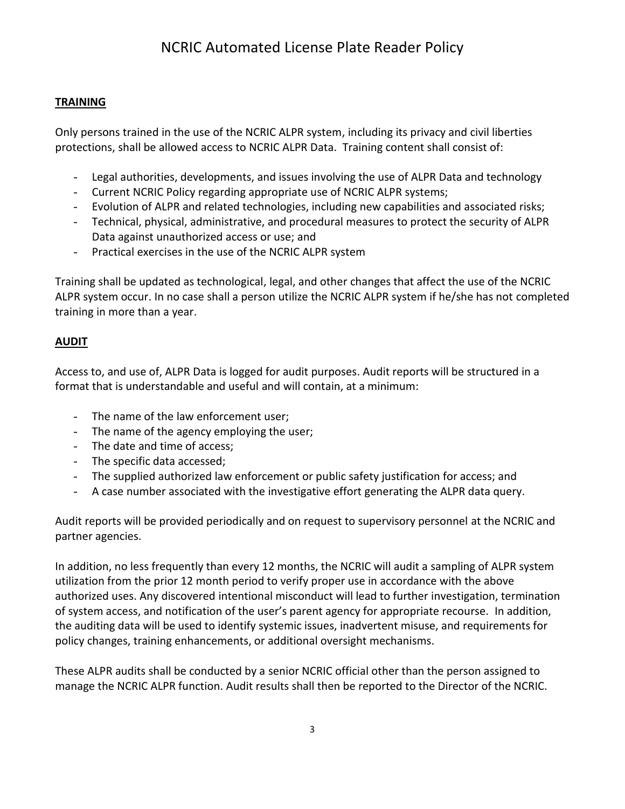#### **TRAINING**

Only persons trained in the use of the NCRIC ALPR system, including its privacy and civil liberties protections, shall be allowed access to NCRIC ALPR Data. Training content shall consist of:

- Legal authorities, developments, and issues involving the use of ALPR Data and technology
- Current NCRIC Policy regarding appropriate use of NCRIC ALPR systems;
- Evolution of ALPR and related technologies, including new capabilities and associated risks;
- Technical, physical, administrative, and procedural measures to protect the security of ALPR Data against unauthorized access or use; and
- Practical exercises in the use of the NCRIC ALPR system

Training shall be updated as technological, legal, and other changes that affect the use of the NCRIC ALPR system occur. In no case shall a person utilize the NCRIC ALPR system if he/she has not completed training in more than a year.

### **AUDIT**

Access to, and use of, ALPR Data is logged for audit purposes. Audit reports will be structured in a format that is understandable and useful and will contain, at a minimum:

- The name of the law enforcement user;
- The name of the agency employing the user;
- The date and time of access;
- The specific data accessed;
- The supplied authorized law enforcement or public safety justification for access; and
- A case number associated with the investigative effort generating the ALPR data query.

Audit reports will be provided periodically and on request to supervisory personnel at the NCRIC and partner agencies.

In addition, no less frequently than every 12 months, the NCRIC will audit a sampling of ALPR system utilization from the prior 12 month period to verify proper use in accordance with the above authorized uses. Any discovered intentional misconduct will lead to further investigation, termination of system access, and notification of the user's parent agency for appropriate recourse. In addition, the auditing data will be used to identify systemic issues, inadvertent misuse, and requirements for policy changes, training enhancements, or additional oversight mechanisms.

These ALPR audits shall be conducted by a senior NCRIC official other than the person assigned to manage the NCRIC ALPR function. Audit results shall then be reported to the Director of the NCRIC.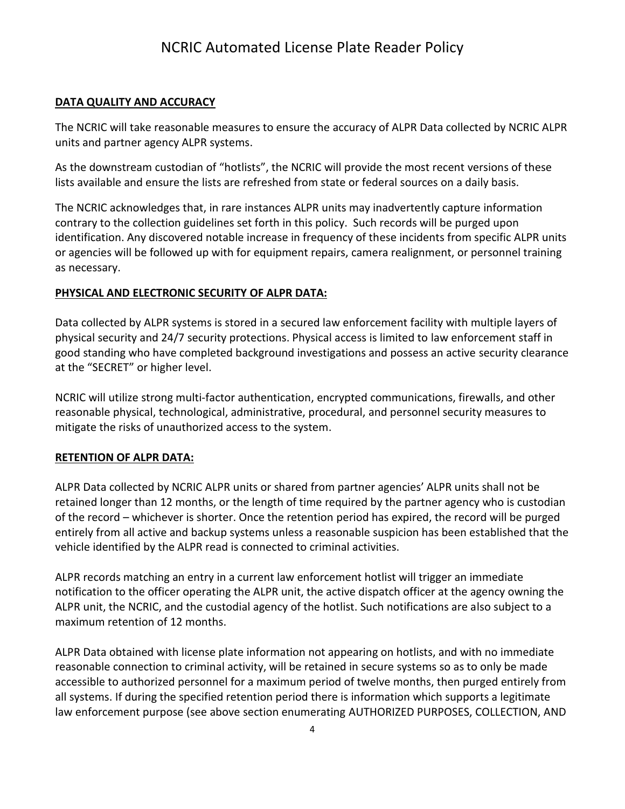#### **DATA QUALITY AND ACCURACY**

The NCRIC will take reasonable measures to ensure the accuracy of ALPR Data collected by NCRIC ALPR units and partner agency ALPR systems.

As the downstream custodian of "hotlists", the NCRIC will provide the most recent versions of these lists available and ensure the lists are refreshed from state or federal sources on a daily basis.

The NCRIC acknowledges that, in rare instances ALPR units may inadvertently capture information contrary to the collection guidelines set forth in this policy. Such records will be purged upon identification. Any discovered notable increase in frequency of these incidents from specific ALPR units or agencies will be followed up with for equipment repairs, camera realignment, or personnel training as necessary.

#### **PHYSICAL AND ELECTRONIC SECURITY OF ALPR DATA:**

Data collected by ALPR systems is stored in a secured law enforcement facility with multiple layers of physical security and 24/7 security protections. Physical access is limited to law enforcement staff in good standing who have completed background investigations and possess an active security clearance at the "SECRET" or higher level.

NCRIC will utilize strong multi-factor authentication, encrypted communications, firewalls, and other reasonable physical, technological, administrative, procedural, and personnel security measures to mitigate the risks of unauthorized access to the system.

#### **RETENTION OF ALPR DATA:**

ALPR Data collected by NCRIC ALPR units or shared from partner agencies' ALPR units shall not be retained longer than 12 months, or the length of time required by the partner agency who is custodian of the record – whichever is shorter. Once the retention period has expired, the record will be purged entirely from all active and backup systems unless a reasonable suspicion has been established that the vehicle identified by the ALPR read is connected to criminal activities.

ALPR records matching an entry in a current law enforcement hotlist will trigger an immediate notification to the officer operating the ALPR unit, the active dispatch officer at the agency owning the ALPR unit, the NCRIC, and the custodial agency of the hotlist. Such notifications are also subject to a maximum retention of 12 months.

ALPR Data obtained with license plate information not appearing on hotlists, and with no immediate reasonable connection to criminal activity, will be retained in secure systems so as to only be made accessible to authorized personnel for a maximum period of twelve months, then purged entirely from all systems. If during the specified retention period there is information which supports a legitimate law enforcement purpose (see above section enumerating AUTHORIZED PURPOSES, COLLECTION, AND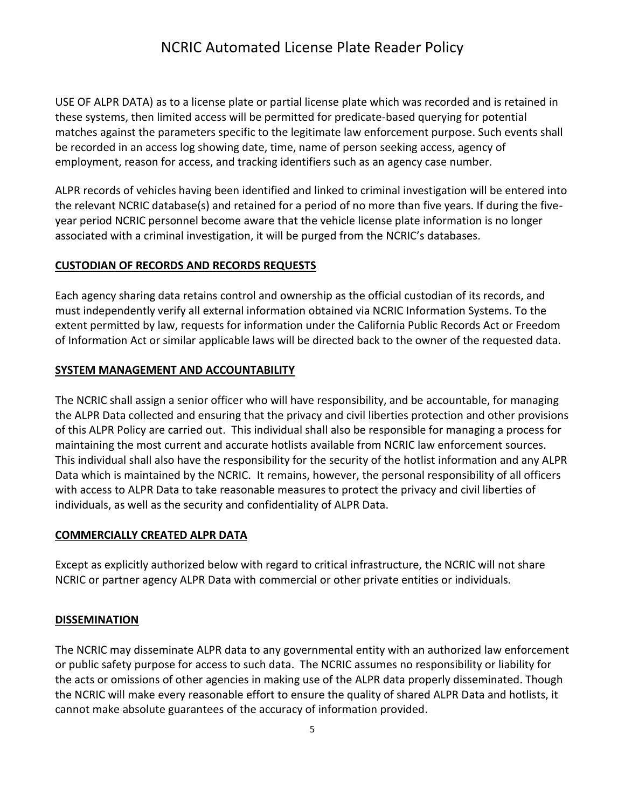USE OF ALPR DATA) as to a license plate or partial license plate which was recorded and is retained in these systems, then limited access will be permitted for predicate-based querying for potential matches against the parameters specific to the legitimate law enforcement purpose. Such events shall be recorded in an access log showing date, time, name of person seeking access, agency of employment, reason for access, and tracking identifiers such as an agency case number.

ALPR records of vehicles having been identified and linked to criminal investigation will be entered into the relevant NCRIC database(s) and retained for a period of no more than five years. If during the fiveyear period NCRIC personnel become aware that the vehicle license plate information is no longer associated with a criminal investigation, it will be purged from the NCRIC's databases.

#### **CUSTODIAN OF RECORDS AND RECORDS REQUESTS**

Each agency sharing data retains control and ownership as the official custodian of its records, and must independently verify all external information obtained via NCRIC Information Systems. To the extent permitted by law, requests for information under the California Public Records Act or Freedom of Information Act or similar applicable laws will be directed back to the owner of the requested data.

### **SYSTEM MANAGEMENT AND ACCOUNTABILITY**

The NCRIC shall assign a senior officer who will have responsibility, and be accountable, for managing the ALPR Data collected and ensuring that the privacy and civil liberties protection and other provisions of this ALPR Policy are carried out. This individual shall also be responsible for managing a process for maintaining the most current and accurate hotlists available from NCRIC law enforcement sources. This individual shall also have the responsibility for the security of the hotlist information and any ALPR Data which is maintained by the NCRIC. It remains, however, the personal responsibility of all officers with access to ALPR Data to take reasonable measures to protect the privacy and civil liberties of individuals, as well as the security and confidentiality of ALPR Data.

#### **COMMERCIALLY CREATED ALPR DATA**

Except as explicitly authorized below with regard to critical infrastructure, the NCRIC will not share NCRIC or partner agency ALPR Data with commercial or other private entities or individuals.

#### **DISSEMINATION**

The NCRIC may disseminate ALPR data to any governmental entity with an authorized law enforcement or public safety purpose for access to such data. The NCRIC assumes no responsibility or liability for the acts or omissions of other agencies in making use of the ALPR data properly disseminated. Though the NCRIC will make every reasonable effort to ensure the quality of shared ALPR Data and hotlists, it cannot make absolute guarantees of the accuracy of information provided.